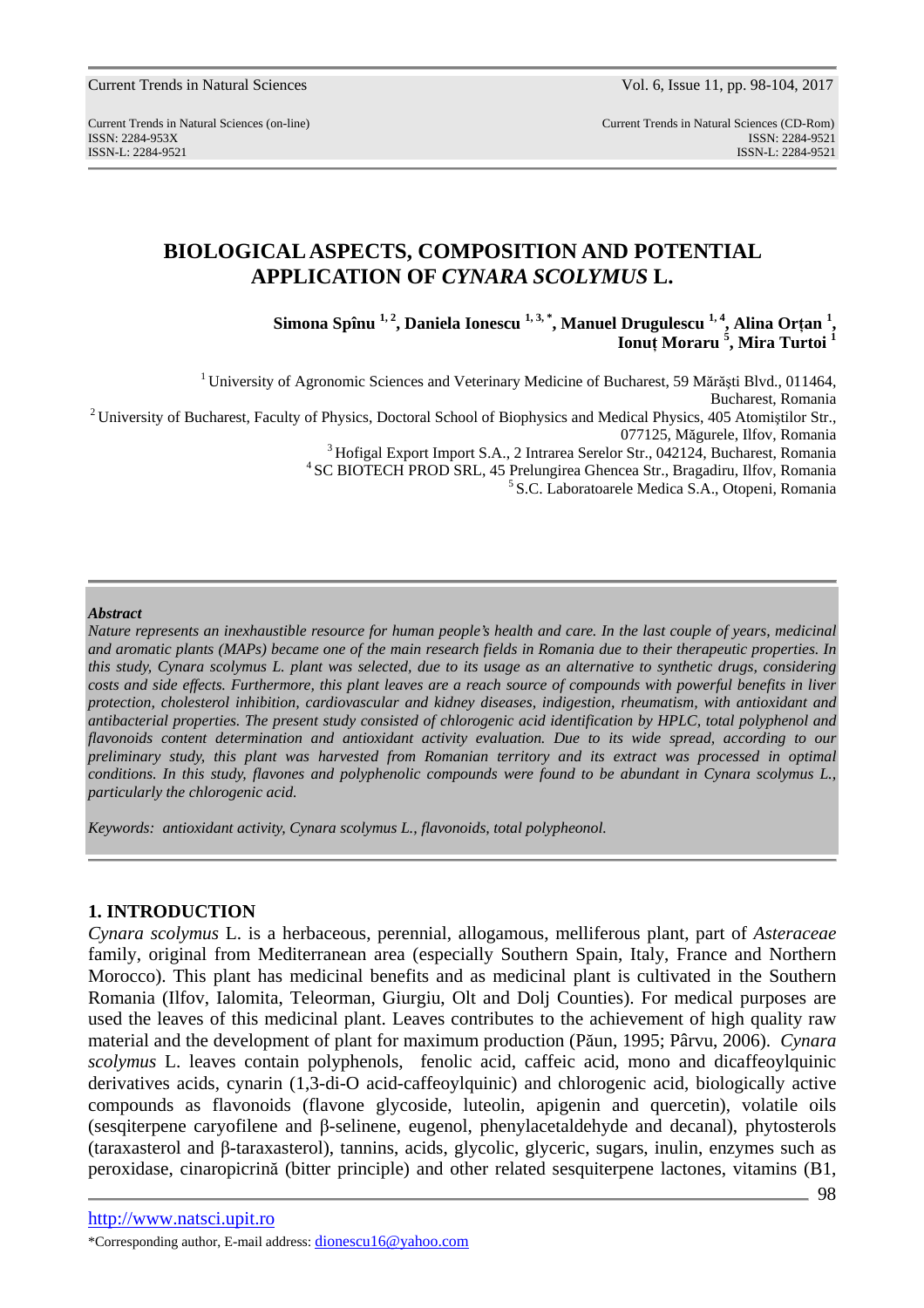Current Trends in Natural Sciences (on-line) Current Trends in Natural Sciences (CD-Rom) ISSN: 2284-953XISSN: 2284-9521 ISSN-L: 2284-9521 ISSN-L: 2284-9521

# **BIOLOGICAL ASPECTS, COMPOSITION AND POTENTIAL APPLICATION OF** *CYNARA SCOLYMUS* **L.**

**Simona Spînu 1, 2, Daniela Ionescu 1, 3, \*, Manuel Drugulescu 1, 4, Alina Orţan <sup>1</sup> , Ionuţ Moraru <sup>5</sup> , Mira Turtoi <sup>1</sup>**

<sup>1</sup> University of Agronomic Sciences and Veterinary Medicine of Bucharest, 59 Mărăști Blvd., 011464, Bucharest, Romania <sup>2</sup> University of Bucharest, Faculty of Physics, Doctoral School of Biophysics and Medical Physics, 405 Atomistilor Str., 077125, Măgurele, Ilfov, Romania <sup>3</sup> Hofigal Export Import S.A., 2 Intrarea Serelor Str., 042124, Bucharest, Romania <sup>4</sup> SC BIOTECH PROD SRL, 45 Prelungirea Ghencea Str., Bragadiru, Ilfov, Romania <sup>5</sup> S.C. Laboratoarele Medica S.A., Otopeni, Romania

#### *Abstract*

*Nature represents an inexhaustible resource for human people's health and care. In the last couple of years, medicinal and aromatic plants (MAPs) became one of the main research fields in Romania due to their therapeutic properties. In this study, Cynara scolymus L. plant was selected, due to its usage as an alternative to synthetic drugs, considering costs and side effects. Furthermore, this plant leaves are a reach source of compounds with powerful benefits in liver protection, cholesterol inhibition, cardiovascular and kidney diseases, indigestion, rheumatism, with antioxidant and antibacterial properties. The present study consisted of chlorogenic acid identification by HPLC, total polyphenol and flavonoids content determination and antioxidant activity evaluation. Due to its wide spread, according to our preliminary study, this plant was harvested from Romanian territory and its extract was processed in optimal*  conditions. In this study, flavones and polyphenolic compounds were found to be abundant in Cynara scolymus L., *particularly the chlorogenic acid.* 

*Keywords: antioxidant activity, Cynara scolymus L., flavonoids, total polypheonol.* 

### **1. INTRODUCTION**

*Cynara scolymus* L. is a herbaceous, perennial, allogamous, melliferous plant, part of *Asteraceae*  family, original from Mediterranean area (especially Southern Spain, Italy, France and Northern Morocco). This plant has medicinal benefits and as medicinal plant is cultivated in the Southern Romania (Ilfov, Ialomita, Teleorman, Giurgiu, Olt and Dolj Counties). For medical purposes are used the leaves of this medicinal plant. Leaves contributes to the achievement of high quality raw material and the development of plant for maximum production (Păun, 1995; Pârvu, 2006). *Cynara scolymus* L. leaves contain polyphenols, fenolic acid, caffeic acid, mono and dicaffeoylquinic derivatives acids, cynarin (1,3-di-O acid-caffeoylquinic) and chlorogenic acid, biologically active compounds as flavonoids (flavone glycoside, luteolin, apigenin and quercetin), volatile oils (sesqiterpene caryofilene and β-selinene, eugenol, phenylacetaldehyde and decanal), phytosterols (taraxasterol and β-taraxasterol), tannins, acids, glycolic, glyceric, sugars, inulin, enzymes such as peroxidase, cinaropicrină (bitter principle) and other related sesquiterpene lactones, vitamins (B1,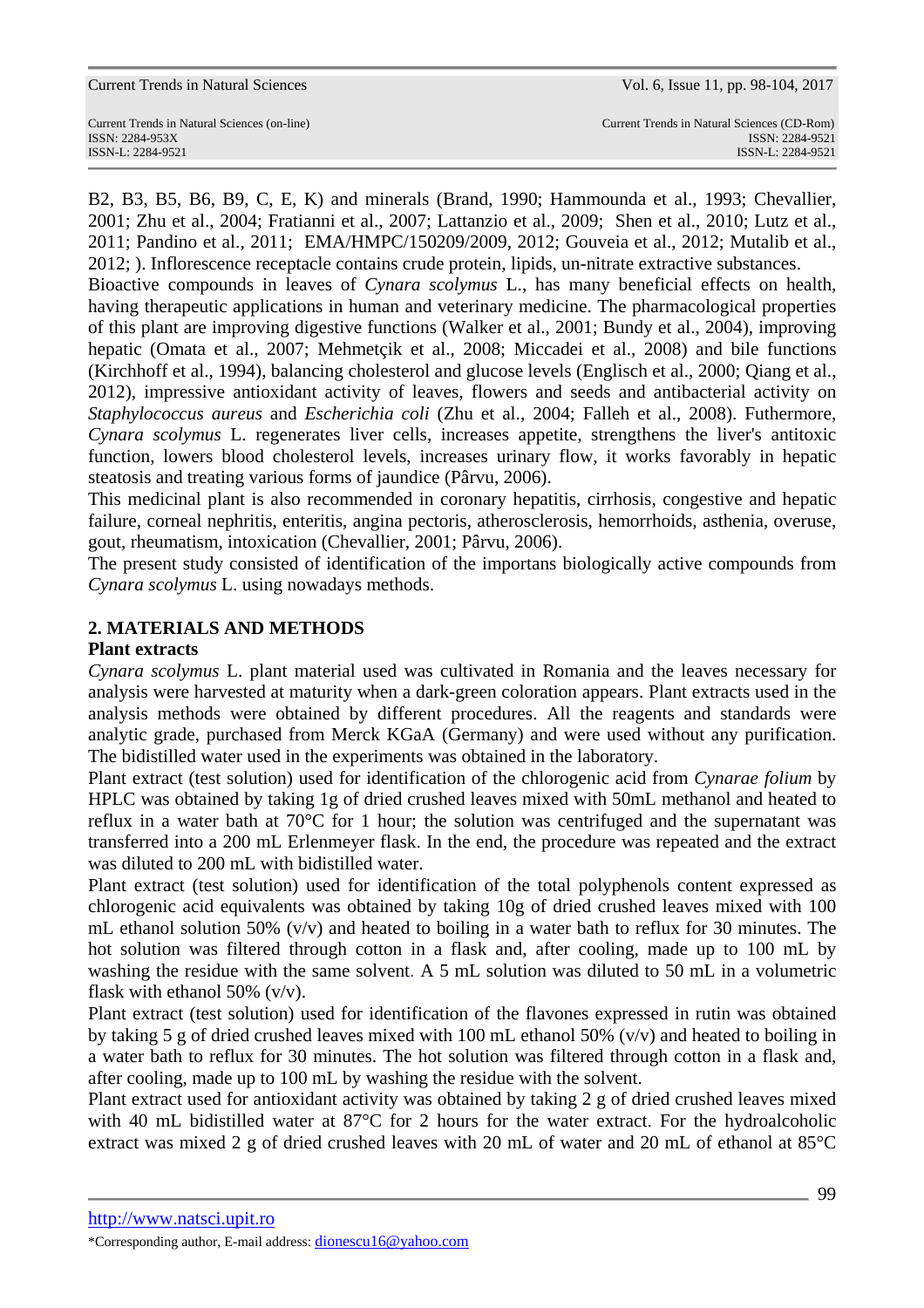| <b>Current Trends in Natural Sciences</b> |  |  |  |
|-------------------------------------------|--|--|--|
|-------------------------------------------|--|--|--|

Vol. 6, Issue 11, pp. 98-104, 2017

B2, B3, B5, B6, B9, C, E, K) and minerals (Brand, 1990; Hammounda et al., 1993; Chevallier, 2001; Zhu et al., 2004; Fratianni et al., 2007; Lattanzio et al., 2009; Shen et al., 2010; Lutz et al., 2011; Pandino et al., 2011; EMA/HMPC/150209/2009, 2012; Gouveia et al., 2012; Mutalib et al., 2012; ). Inflorescence receptacle contains crude protein, lipids, un-nitrate extractive substances.

Bioactive compounds in leaves of *Cynara scolymus* L., has many beneficial effects on health, having therapeutic applications in human and veterinary medicine. The pharmacological properties of this plant are improving digestive functions (Walker et al., 2001; Bundy et al., 2004), improving hepatic (Omata et al., 2007; Mehmetçik et al., 2008; Miccadei et al., 2008) and bile functions (Kirchhoff et al., 1994), balancing cholesterol and glucose levels (Englisch et al., 2000; Qiang et al., 2012), impressive antioxidant activity of leaves, flowers and seeds and antibacterial activity on *Staphylococcus aureus* and *Escherichia coli* (Zhu et al., 2004; Falleh et al., 2008). Futhermore, *Cynara scolymus* L. regenerates liver cells, increases appetite, strengthens the liver's antitoxic function, lowers blood cholesterol levels, increases urinary flow, it works favorably in hepatic steatosis and treating various forms of jaundice (Pârvu, 2006).

This medicinal plant is also recommended in coronary hepatitis, cirrhosis, congestive and hepatic failure, corneal nephritis, enteritis, angina pectoris, atherosclerosis, hemorrhoids, asthenia, overuse, gout, rheumatism, intoxication (Chevallier, 2001; Pârvu, 2006).

The present study consisted of identification of the importans biologically active compounds from *Cynara scolymus* L. using nowadays methods.

# **2. MATERIALS AND METHODS**

## **Plant extracts**

*Cynara scolymus* L. plant material used was cultivated in Romania and the leaves necessary for analysis were harvested at maturity when a dark-green coloration appears. Plant extracts used in the analysis methods were obtained by different procedures. All the reagents and standards were analytic grade, purchased from Merck KGaA (Germany) and were used without any purification. The bidistilled water used in the experiments was obtained in the laboratory.

Plant extract (test solution) used for identification of the chlorogenic acid from *Cynarae folium* by HPLC was obtained by taking 1g of dried crushed leaves mixed with 50mL methanol and heated to reflux in a water bath at 70°C for 1 hour; the solution was centrifuged and the supernatant was transferred into a 200 mL Erlenmeyer flask. In the end, the procedure was repeated and the extract was diluted to 200 mL with bidistilled water.

Plant extract (test solution) used for identification of the total polyphenols content expressed as chlorogenic acid equivalents was obtained by taking 10g of dried crushed leaves mixed with 100 mL ethanol solution 50%  $(v/v)$  and heated to boiling in a water bath to reflux for 30 minutes. The hot solution was filtered through cotton in a flask and, after cooling, made up to 100 mL by washing the residue with the same solvent. A 5 mL solution was diluted to 50 mL in a volumetric flask with ethanol 50% (v/v).

Plant extract (test solution) used for identification of the flavones expressed in rutin was obtained by taking 5 g of dried crushed leaves mixed with 100 mL ethanol 50% (v/v) and heated to boiling in a water bath to reflux for 30 minutes. The hot solution was filtered through cotton in a flask and, after cooling, made up to 100 mL by washing the residue with the solvent.

Plant extract used for antioxidant activity was obtained by taking 2 g of dried crushed leaves mixed with 40 mL bidistilled water at 87°C for 2 hours for the water extract. For the hydroalcoholic extract was mixed 2 g of dried crushed leaves with 20 mL of water and 20 mL of ethanol at 85°C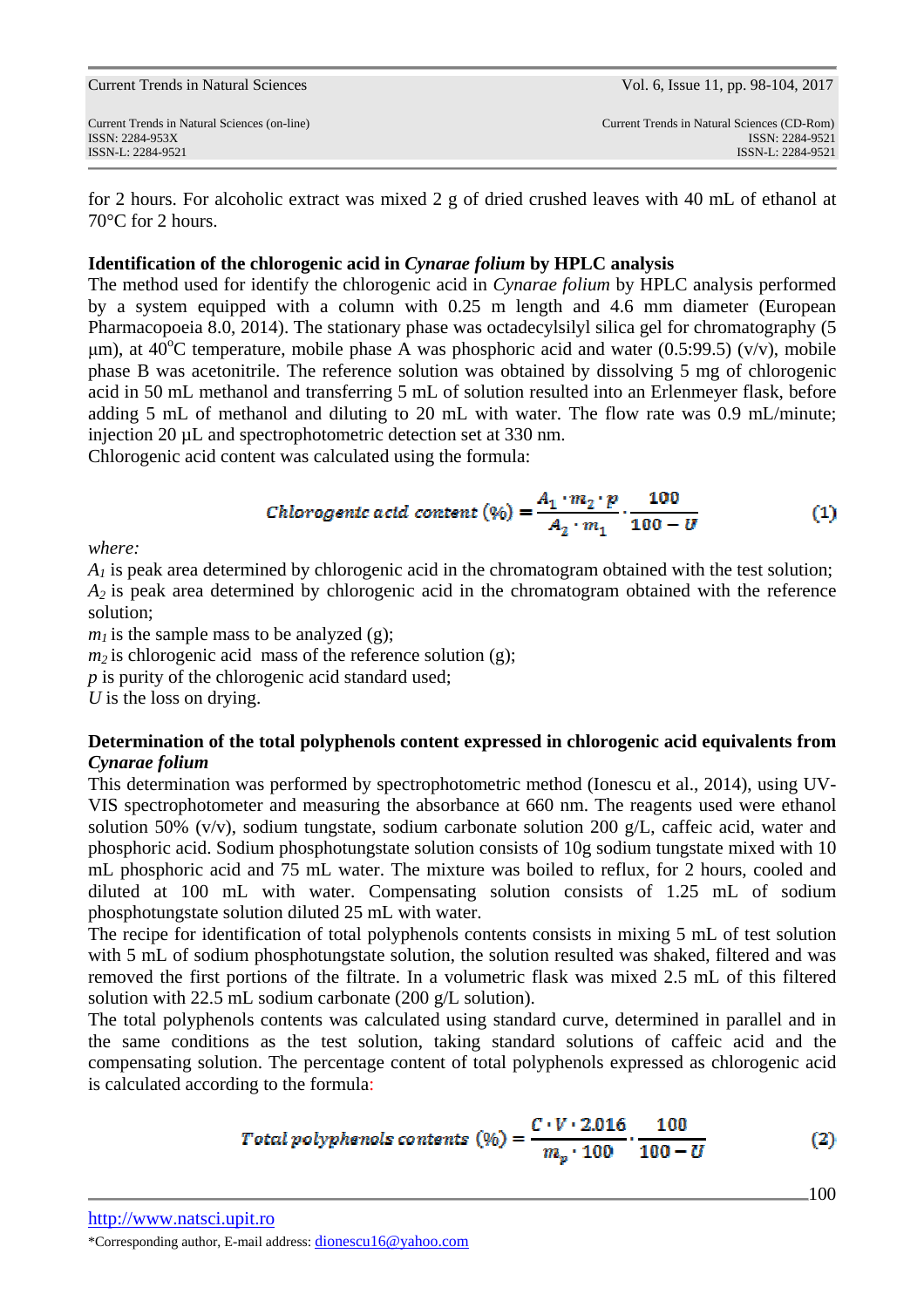| Current Trends in Natural Sciences                                                   | Vol. 6, Issue 11, pp. 98-104, 2017                                                  |
|--------------------------------------------------------------------------------------|-------------------------------------------------------------------------------------|
| Current Trends in Natural Sciences (on-line)<br>ISSN: 2284-953X<br>ISSN-L: 2284-9521 | Current Trends in Natural Sciences (CD-Rom)<br>ISSN: 2284-9521<br>ISSN-L: 2284-9521 |
|                                                                                      |                                                                                     |

for 2 hours. For alcoholic extract was mixed 2 g of dried crushed leaves with 40 mL of ethanol at 70°C for 2 hours.

## **Identification of the chlorogenic acid in** *Cynarae folium* **by HPLC analysis**

The method used for identify the chlorogenic acid in *Cynarae folium* by HPLC analysis performed by a system equipped with a column with 0.25 m length and 4.6 mm diameter (European Pharmacopoeia 8.0, 2014). The stationary phase was octadecylsilyl silica gel for chromatography (5 um), at  $40^{\circ}$ C temperature, mobile phase A was phosphoric acid and water (0.5:99.5) (v/v), mobile phase B was acetonitrile. The reference solution was obtained by dissolving 5 mg of chlorogenic acid in 50 mL methanol and transferring 5 mL of solution resulted into an Erlenmeyer flask, before adding 5 mL of methanol and diluting to 20 mL with water. The flow rate was 0.9 mL/minute; injection 20 uL and spectrophotometric detection set at 330 nm.

Chlorogenic acid content was calculated using the formula:

Chlorogenic acid content (\%) = 
$$
\frac{A_1 \cdot m_2 \cdot p}{A_2 \cdot m_1} \cdot \frac{100}{100 - U}
$$
 (1)

*where:* 

 $A<sub>1</sub>$  is peak area determined by chlorogenic acid in the chromatogram obtained with the test solution; *A2* is peak area determined by chlorogenic acid in the chromatogram obtained with the reference solution;

 $m_l$  is the sample mass to be analyzed (g);

 $m<sub>2</sub>$  is chlorogenic acid mass of the reference solution (g);

*p* is purity of the chlorogenic acid standard used;

*U* is the loss on drying.

## **Determination of the total polyphenols content expressed in chlorogenic acid equivalents from**  *Cynarae folium*

This determination was performed by spectrophotometric method (Ionescu et al., 2014), using UV-VIS spectrophotometer and measuring the absorbance at 660 nm. The reagents used were ethanol solution 50% (v/v), sodium tungstate, sodium carbonate solution 200 g/L, caffeic acid, water and phosphoric acid. Sodium phosphotungstate solution consists of 10g sodium tungstate mixed with 10 mL phosphoric acid and 75 mL water. The mixture was boiled to reflux, for 2 hours, cooled and diluted at 100 mL with water. Compensating solution consists of 1.25 mL of sodium phosphotungstate solution diluted 25 mL with water.

The recipe for identification of total polyphenols contents consists in mixing 5 mL of test solution with 5 mL of sodium phosphotungstate solution, the solution resulted was shaked, filtered and was removed the first portions of the filtrate. In a volumetric flask was mixed 2.5 mL of this filtered solution with 22.5 mL sodium carbonate (200 g/L solution).

The total polyphenols contents was calculated using standard curve, determined in parallel and in the same conditions as the test solution, taking standard solutions of caffeic acid and the compensating solution. The percentage content of total polyphenols expressed as chlorogenic acid is calculated according to the formula:

Total polyphenols contents 
$$
(\% ) = \frac{C \cdot V \cdot 2.016}{m_p \cdot 100} \cdot \frac{100}{100 - U}
$$
 (2)

100

http://www.natsci.upit.ro

\*Corresponding author, E-mail address: dionescu16@yahoo.com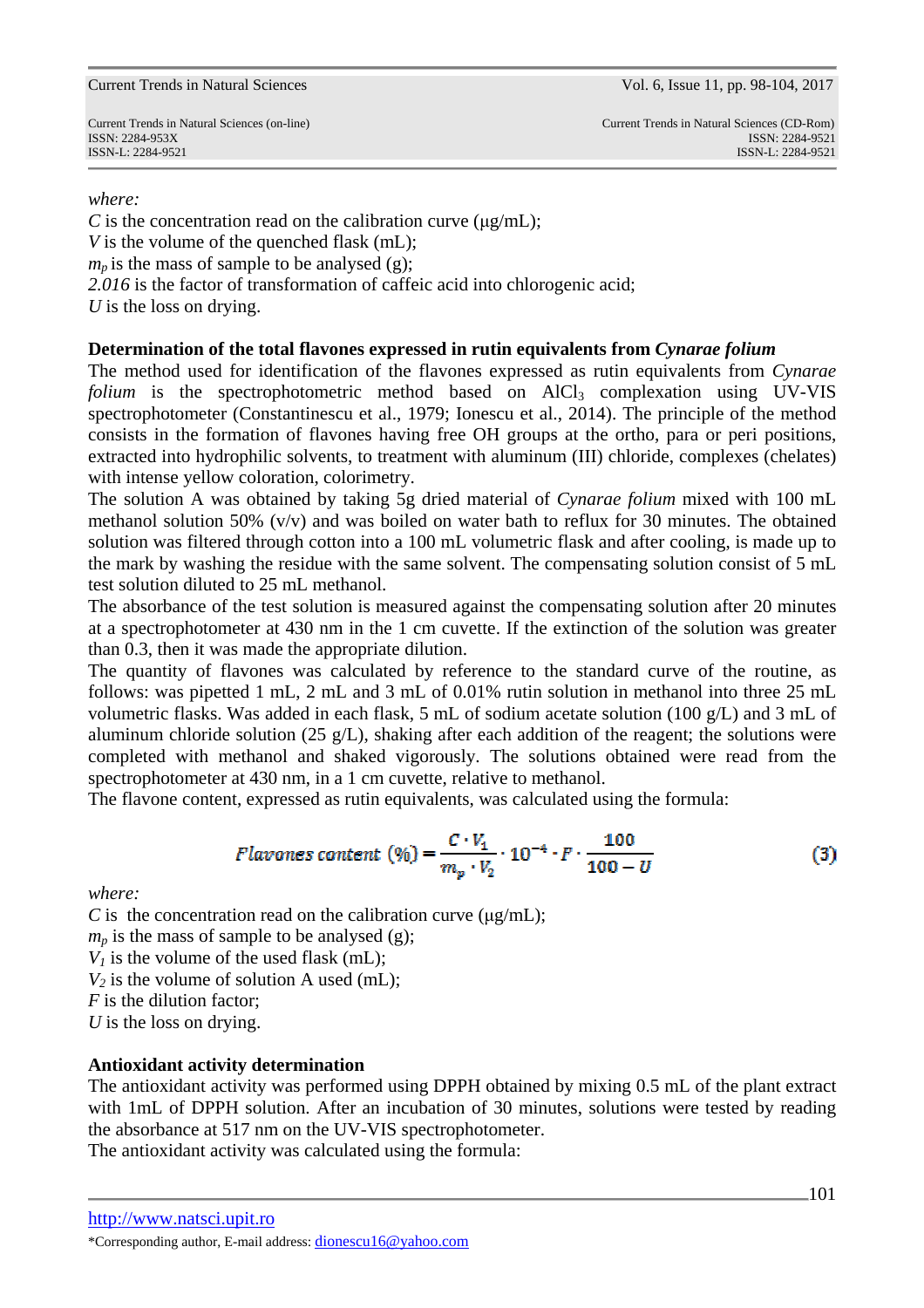#### Current Trends in Natural Sciences Vol. 6, Issue 11, pp. 98-104, 2017

ISSN-L: 2284-9521 ISSN-L: 2284-9521

*where:*

*C* is the concentration read on the calibration curve  $(\mu g/mL)$ ; *V* is the volume of the quenched flask (mL);  $m_p$  is the mass of sample to be analysed (g); *2.016* is the factor of transformation of caffeic acid into chlorogenic acid; *U* is the loss on drying.

### **Determination of the total flavones expressed in rutin equivalents from** *Cynarae folium*

The method used for identification of the flavones expressed as rutin equivalents from *Cynarae folium* is the spectrophotometric method based on AlCl<sub>3</sub> complexation using UV-VIS spectrophotometer (Constantinescu et al., 1979; Ionescu et al., 2014). The principle of the method consists in the formation of flavones having free OH groups at the ortho, para or peri positions, extracted into hydrophilic solvents, to treatment with aluminum (III) chloride, complexes (chelates) with intense yellow coloration, colorimetry.

The solution A was obtained by taking 5g dried material of *Cynarae folium* mixed with 100 mL methanol solution 50%  $(v/v)$  and was boiled on water bath to reflux for 30 minutes. The obtained solution was filtered through cotton into a 100 mL volumetric flask and after cooling, is made up to the mark by washing the residue with the same solvent. The compensating solution consist of 5 mL test solution diluted to 25 mL methanol.

The absorbance of the test solution is measured against the compensating solution after 20 minutes at a spectrophotometer at 430 nm in the 1 cm cuvette. If the extinction of the solution was greater than 0.3, then it was made the appropriate dilution.

The quantity of flavones was calculated by reference to the standard curve of the routine, as follows: was pipetted 1 mL, 2 mL and 3 mL of 0.01% rutin solution in methanol into three 25 mL volumetric flasks. Was added in each flask, 5 mL of sodium acetate solution (100 g/L) and 3 mL of aluminum chloride solution (25 g/L), shaking after each addition of the reagent; the solutions were completed with methanol and shaked vigorously. The solutions obtained were read from the spectrophotometer at 430 nm, in a 1 cm cuvette, relative to methanol.

The flavone content, expressed as rutin equivalents, was calculated using the formula:

Flavones content (%) = 
$$
\frac{C \cdot V_1}{m_p \cdot V_2} \cdot 10^{-4} \cdot F \cdot \frac{100}{100 - U}
$$
 (3)

*where:*

*C* is the concentration read on the calibration curve  $(\mu g/mL)$ ;

 $m_p$  is the mass of sample to be analysed (g);

 $V_I$  is the volume of the used flask (mL);

 $V_2$  is the volume of solution A used (mL);

*F* is the dilution factor;

*U* is the loss on drying.

### **Antioxidant activity determination**

The antioxidant activity was performed using DPPH obtained by mixing 0.5 mL of the plant extract with 1mL of DPPH solution. After an incubation of 30 minutes, solutions were tested by reading the absorbance at 517 nm on the UV-VIS spectrophotometer.

The antioxidant activity was calculated using the formula:

http://www.natsci.upit.ro

<sup>\*</sup>Corresponding author, E-mail address: dionescu16@yahoo.com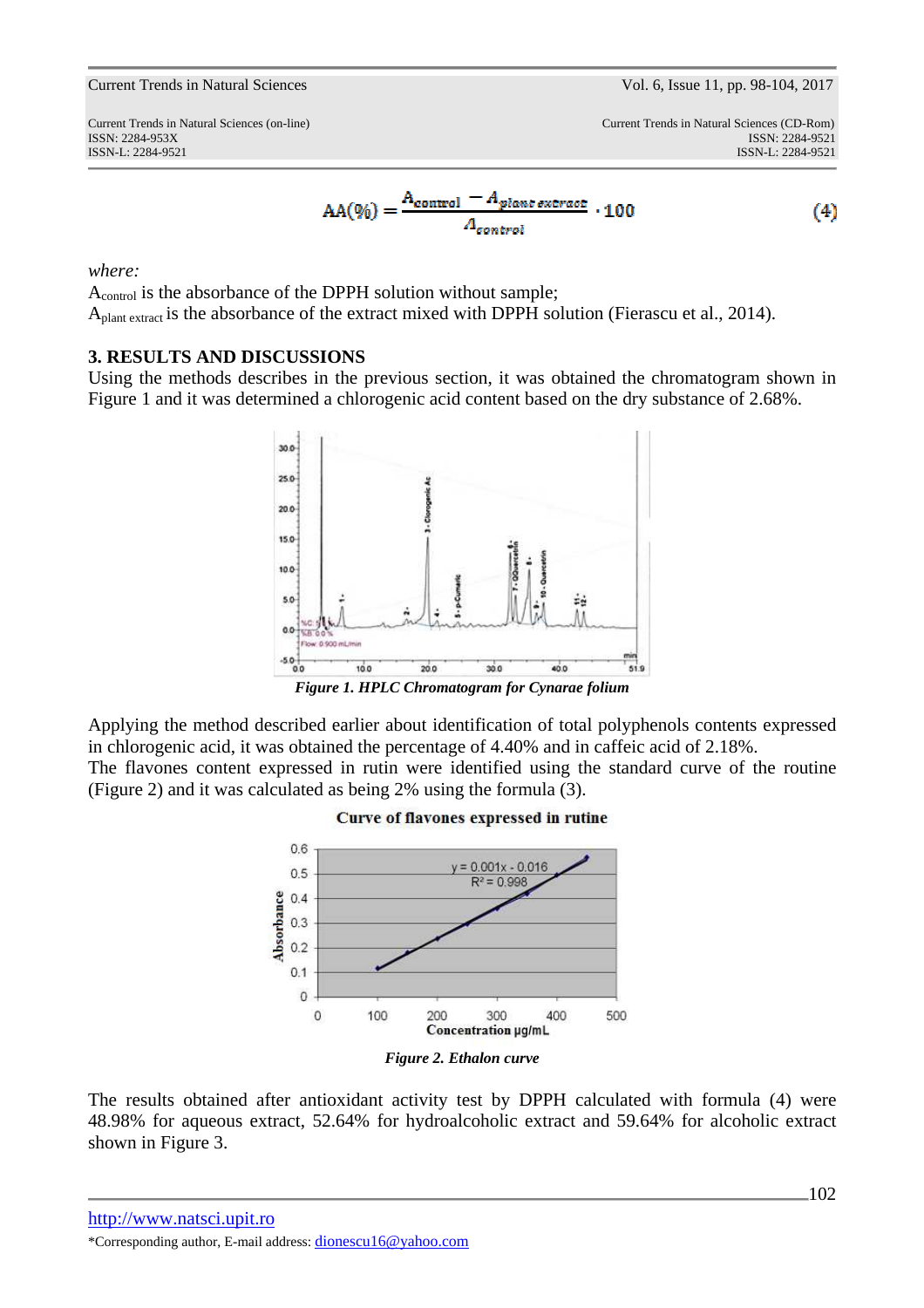#### Current Trends in Natural Sciences Vol. 6, Issue 11, pp. 98-104, 2017

ISSN-L: 2284-9521 ISSN-L: 2284-9521

$$
AA(\%) = \frac{A_{control} - A_{planet\,ext{ract}}}{A_{control}} \cdot 100
$$
\n(4)

*where:*

Acontrol is the absorbance of the DPPH solution without sample; A<sub>plant extract</sub> is the absorbance of the extract mixed with DPPH solution (Fierascu et al., 2014).

## **3. RESULTS AND DISCUSSIONS**

Using the methods describes in the previous section, it was obtained the chromatogram shown in Figure 1 and it was determined a chlorogenic acid content based on the dry substance of 2.68%.



*Figure 1. HPLC Chromatogram for Cynarae folium* 

Applying the method described earlier about identification of total polyphenols contents expressed in chlorogenic acid, it was obtained the percentage of 4.40% and in caffeic acid of 2.18%. The flavones content expressed in rutin were identified using the standard curve of the routine

(Figure 2) and it was calculated as being 2% using the formula (3).



The results obtained after antioxidant activity test by DPPH calculated with formula (4) were 48.98% for aqueous extract, 52.64% for hydroalcoholic extract and 59.64% for alcoholic extract shown in Figure 3.

http://www.natsci.upit.ro \*Corresponding author, E-mail address: dionescu16@yahoo.com

## Curve of flavones expressed in rutine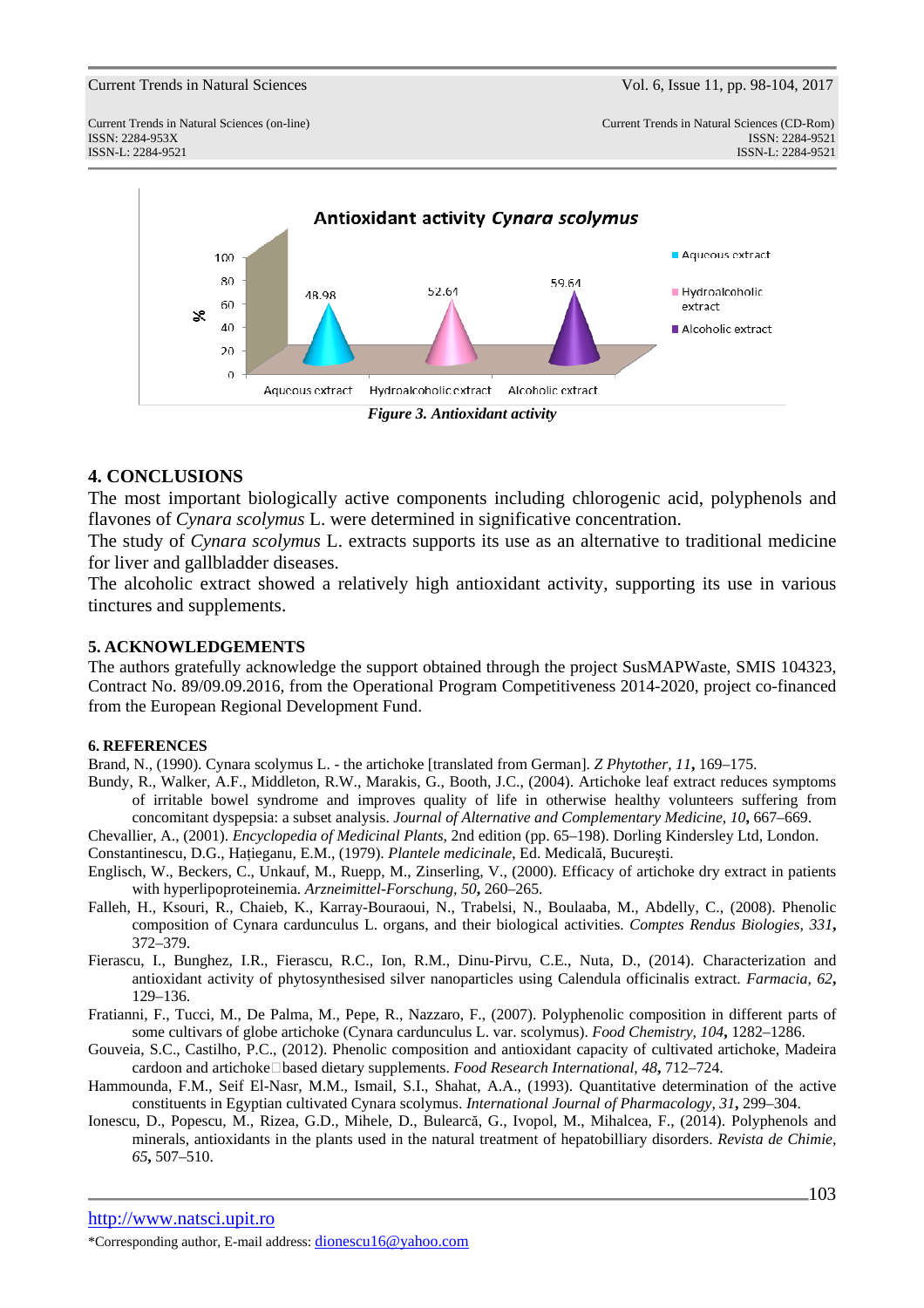#### Current Trends in Natural Sciences Vol. 6, Issue 11, pp. 98-104, 2017



### **4. CONCLUSIONS**

The most important biologically active components including chlorogenic acid, polyphenols and flavones of *Cynara scolymus* L. were determined in significative concentration.

The study of *Cynara scolymus* L. extracts supports its use as an alternative to traditional medicine for liver and gallbladder diseases.

The alcoholic extract showed a relatively high antioxidant activity, supporting its use in various tinctures and supplements.

#### **5. ACKNOWLEDGEMENTS**

The authors gratefully acknowledge the support obtained through the project SusMAPWaste, SMIS 104323, Contract No. 89/09.09.2016, from the Operational Program Competitiveness 2014-2020, project co-financed from the European Regional Development Fund.

#### **6. REFERENCES**

Brand, N., (1990). Cynara scolymus L. - the artichoke [translated from German]. *Z Phytother*, *11***,** 169–175.

- Bundy, R., Walker, A.F., Middleton, R.W., Marakis, G., Booth, J.C., (2004). Artichoke leaf extract reduces symptoms of irritable bowel syndrome and improves quality of life in otherwise healthy volunteers suffering from concomitant dyspepsia: a subset analysis. *Journal of Alternative and Complementary Medicine, 10***,** 667–669.
- Chevallier, A., (2001). *Encyclopedia of Medicinal Plants,* 2nd edition (pp. 65–198). Dorling Kindersley Ltd, London. Constantinescu, D.G., Haţieganu, E.M., (1979). *Plantele medicinale*, Ed. Medicală, Bucureşti.
- Englisch, W., Beckers, C., Unkauf, M., Ruepp, M., Zinserling, V., (2000). Efficacy of artichoke dry extract in patients with hyperlipoproteinemia. *Arzneimittel-Forschung, 50***,** 260–265.
- Falleh, H., Ksouri, R., Chaieb, K., Karray-Bouraoui, N., Trabelsi, N., Boulaaba, M., Abdelly, C., (2008). Phenolic composition of Cynara cardunculus L. organs, and their biological activities. *Comptes Rendus Biologies, 331***,** 372–379.
- Fierascu, I., Bunghez, I.R., Fierascu, R.C., Ion, R.M., Dinu-Pirvu, C.E., Nuta, D., (2014). Characterization and antioxidant activity of phytosynthesised silver nanoparticles using Calendula officinalis extract. *Farmacia, 62***,** 129–136.
- Fratianni, F., Tucci, M., De Palma, M., Pepe, R., Nazzaro, F., (2007). Polyphenolic composition in different parts of some cultivars of globe artichoke (Cynara cardunculus L. var. scolymus). *Food Chemistry, 104***,** 1282–1286.
- Gouveia, S.C., Castilho, P.C., (2012). Phenolic composition and antioxidant capacity of cultivated artichoke, Madeira cardoon and artichoke‐based dietary supplements. *Food Research International, 48***,** 712–724.
- Hammounda, F.M., Seif El-Nasr, M.M., Ismail, S.I., Shahat, A.A., (1993). Quantitative determination of the active constituents in Egyptian cultivated Cynara scolymus. *International Journal of Pharmacology, 31***,** 299–304.
- Ionescu, D., Popescu, M., Rizea, G.D., Mihele, D., Bulearcă, G., Ivopol, M., Mihalcea, F., (2014). Polyphenols and minerals, antioxidants in the plants used in the natural treatment of hepatobilliary disorders. *Revista de Chimie, 65***,** 507–510.

http://www.natsci.upit.ro

\*Corresponding author, E-mail address: dionescu16@yahoo.com